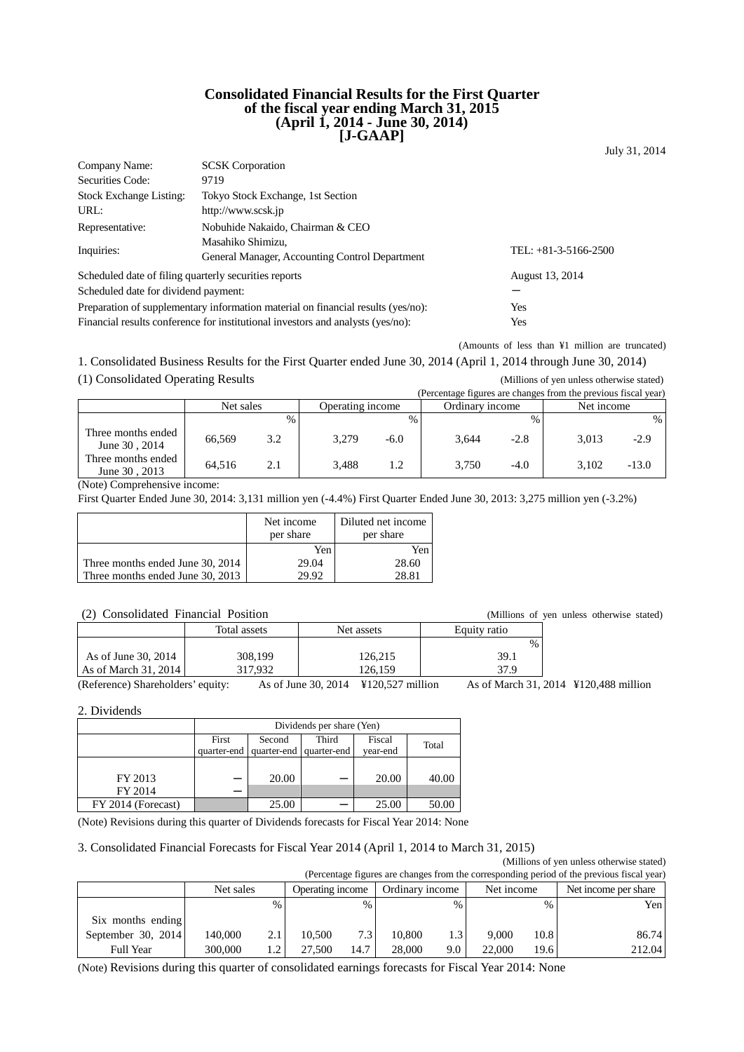### **Consolidated Financial Results for the First Quarter of the fiscal year ending March 31, 2015 (April 1, 2014 - June 30, 2014) [J-GAAP]**

July 31, 2014

| Company Name:                                                                    | <b>SCSK</b> Corporation                                                         |                        |
|----------------------------------------------------------------------------------|---------------------------------------------------------------------------------|------------------------|
| Securities Code:                                                                 | 9719                                                                            |                        |
| <b>Stock Exchange Listing:</b>                                                   | Tokyo Stock Exchange, 1st Section                                               |                        |
| URL:                                                                             | http://www.scsk.jp                                                              |                        |
| Representative:                                                                  | Nobuhide Nakaido, Chairman & CEO                                                |                        |
|                                                                                  | Masahiko Shimizu,                                                               |                        |
| Inquiries:                                                                       | General Manager, Accounting Control Department                                  | TEL: $+81-3-5166-2500$ |
| Scheduled date of filing quarterly securities reports                            |                                                                                 | August 13, 2014        |
| Scheduled date for dividend payment:                                             |                                                                                 |                        |
| Preparation of supplementary information material on financial results (yes/no): | Yes                                                                             |                        |
|                                                                                  | Financial results conference for institutional investors and analysts (yes/no): | Yes                    |

(Amounts of less than ¥1 million are truncated)

1. Consolidated Business Results for the First Quarter ended June 30, 2014 (April 1, 2014 through June 30, 2014)

<sup>(1)</sup> Consolidated Operating Results (Millions of yen unless otherwise stated)

|                                     |           |      |                  |               | (Percentage figures are changes from the previous fiscal year) |               |            |         |
|-------------------------------------|-----------|------|------------------|---------------|----------------------------------------------------------------|---------------|------------|---------|
|                                     | Net sales |      | Operating income |               | Ordinary income                                                |               | Net income |         |
|                                     |           | $\%$ |                  | $\frac{0}{0}$ |                                                                | $\frac{0}{0}$ |            | %       |
| Three months ended<br>June 30, 2014 | 66.569    | 3.2  | 3.279            | $-6.0$        | 3.644                                                          | $-2.8$        | 3.013      | $-2.9$  |
| Three months ended<br>June 30, 2013 | 64.516    | 2.1  | 3.488            | 1.2           | 3.750                                                          | $-4.0$        | 3.102      | $-13.0$ |

(Note) Comprehensive income:

First Quarter Ended June 30, 2014: 3,131 million yen (-4.4%) First Quarter Ended June 30, 2013: 3,275 million yen (-3.2%)

|                                  | Net income<br>per share | Diluted net income<br>per share |
|----------------------------------|-------------------------|---------------------------------|
|                                  | Yen                     | Yen                             |
| Three months ended June 30, 2014 | 29.04                   | 28.60                           |
| Three months ended June 30, 2013 | 29.92                   | 28.81                           |

## (2) Consolidated Financial Position (Millions of yen unless otherwise stated)

| $\sqrt{2}$<br>Compondatou i manoial i politon | <i>ummons</i> or <i>von</i> |                                                  |                            |  |
|-----------------------------------------------|-----------------------------|--------------------------------------------------|----------------------------|--|
|                                               | Total assets                | Net assets                                       | Equity ratio               |  |
|                                               |                             |                                                  | $\%$                       |  |
| As of June 30, 2014                           | 308.199                     | 126.215                                          | 39.1                       |  |
| As of March 31, 2014                          | 317.932                     | 126.159                                          | 37 Q                       |  |
| (Reference) Shareholders' equity              |                             | $\Delta$ s of June 30 2014 $\pm$ 120 527 million | $\Delta$ s of March 31 201 |  |

(Reference) Shareholders' equity: As of June 30, 2014 ¥120,527 million As of March 31, 2014 ¥120,488 million

2. Dividends

|                    | Dividends per share (Yen) |        |                         |          |       |  |
|--------------------|---------------------------|--------|-------------------------|----------|-------|--|
|                    | First                     | Second | Third                   | Fiscal   | Total |  |
|                    | quarter-end               |        | quarter-end quarter-end | vear-end |       |  |
|                    |                           |        |                         |          |       |  |
| FY 2013            |                           | 20.00  |                         | 20.00    | 40.00 |  |
| FY 2014            |                           |        |                         |          |       |  |
| FY 2014 (Forecast) |                           | 25.00  |                         | 25.00    | 50.00 |  |

(Note) Revisions during this quarter of Dividends forecasts for Fiscal Year 2014: None

### 3. Consolidated Financial Forecasts for Fiscal Year 2014 (April 1, 2014 to March 31, 2015)

| (Millions of yen unless otherwise stated)<br>(Percentage figures are changes from the corresponding period of the previous fiscal year) |           |      |                  |               |                 |      |            |      |                      |
|-----------------------------------------------------------------------------------------------------------------------------------------|-----------|------|------------------|---------------|-----------------|------|------------|------|----------------------|
|                                                                                                                                         | Net sales |      | Operating income |               | Ordinary income |      | Net income |      | Net income per share |
|                                                                                                                                         |           | $\%$ |                  | $\frac{0}{0}$ |                 | $\%$ |            | $\%$ | Yen                  |
| Six months ending                                                                                                                       |           |      |                  |               |                 |      |            |      |                      |
| September 30, 2014                                                                                                                      | 140.000   | 2.1  | 10.500           | 7.3           | 10,800          | 1.3  | 9.000      | 10.8 | 86.74                |
| Full Year                                                                                                                               | 300,000   | 1.2  | 27.500           | 14.7          | 28,000          | 9.0  | 22,000     | 19.6 | 212.04               |

(Note) Revisions during this quarter of consolidated earnings forecasts for Fiscal Year 2014: None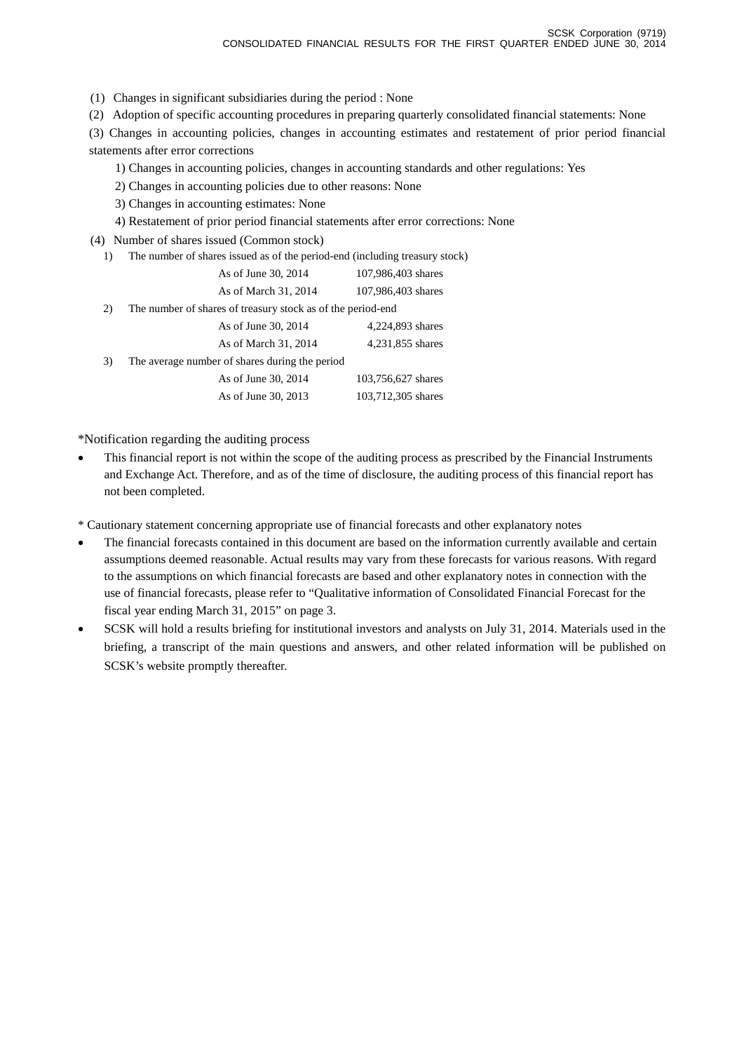(1) Changes in significant subsidiaries during the period : None

(2) Adoption of specific accounting procedures in preparing quarterly consolidated financial statements: None

(3) Changes in accounting policies, changes in accounting estimates and restatement of prior period financial statements after error corrections

- 1) Changes in accounting policies, changes in accounting standards and other regulations: Yes
- 2) Changes in accounting policies due to other reasons: None

3) Changes in accounting estimates: None

4) Restatement of prior period financial statements after error corrections: None

(4) Number of shares issued (Common stock)

|  |  |  |  |  |  |  | 1) The number of shares issued as of the period-end (including treasury stock) |
|--|--|--|--|--|--|--|--------------------------------------------------------------------------------|
|--|--|--|--|--|--|--|--------------------------------------------------------------------------------|

|    | As of June 30, 2014                                         | 107,986,403 shares |
|----|-------------------------------------------------------------|--------------------|
|    | As of March 31, 2014                                        | 107,986,403 shares |
| 2) | The number of shares of treasury stock as of the period-end |                    |
|    | As of June 30, 2014                                         | 4,224,893 shares   |
|    | As of March 31, 2014                                        | 4,231,855 shares   |
| 3) | The average number of shares during the period              |                    |
|    | As of June 30, 2014                                         | 103,756,627 shares |
|    | As of June 30, 2013                                         | 103,712,305 shares |
|    |                                                             |                    |

\*Notification regarding the auditing process

• This financial report is not within the scope of the auditing process as prescribed by the Financial Instruments and Exchange Act. Therefore, and as of the time of disclosure, the auditing process of this financial report has not been completed.

\* Cautionary statement concerning appropriate use of financial forecasts and other explanatory notes

- The financial forecasts contained in this document are based on the information currently available and certain assumptions deemed reasonable. Actual results may vary from these forecasts for various reasons. With regard to the assumptions on which financial forecasts are based and other explanatory notes in connection with the use of financial forecasts, please refer to "Qualitative information of Consolidated Financial Forecast for the fiscal year ending March 31, 2015" on page 3.
- SCSK will hold a results briefing for institutional investors and analysts on July 31, 2014. Materials used in the briefing, a transcript of the main questions and answers, and other related information will be published on SCSK's website promptly thereafter.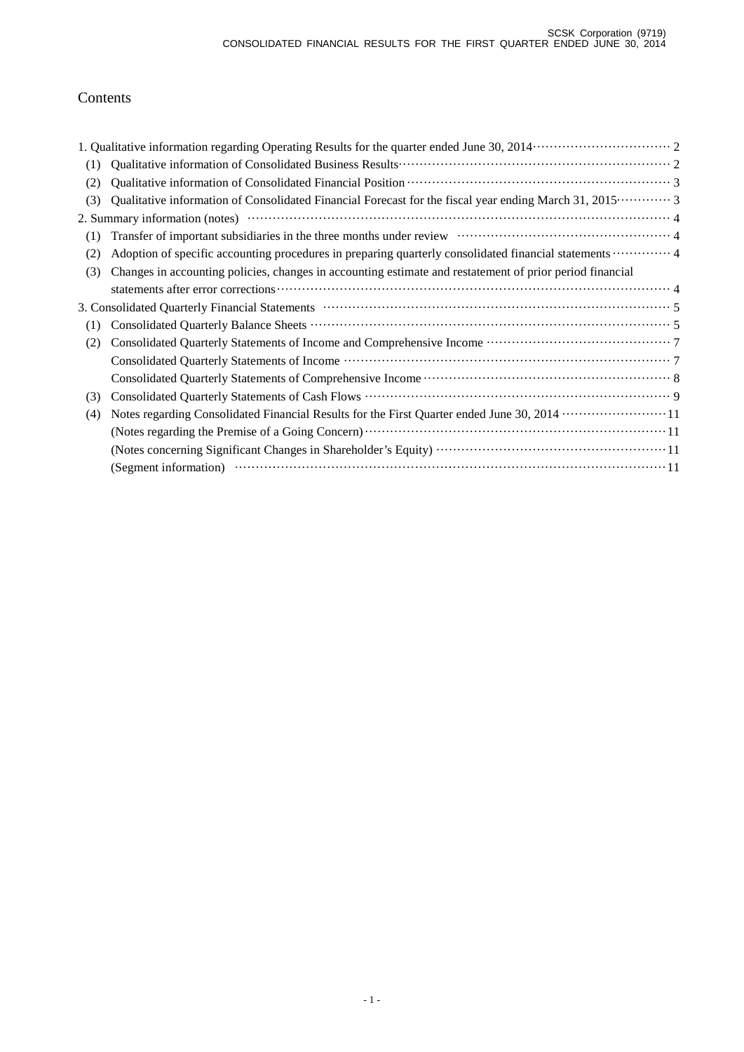# Contents

| (1) |                                                                                                                                                                       |
|-----|-----------------------------------------------------------------------------------------------------------------------------------------------------------------------|
| (2) |                                                                                                                                                                       |
| (3) | Qualitative information of Consolidated Financial Forecast for the fiscal year ending March 31, 2015 3                                                                |
|     |                                                                                                                                                                       |
| (1) | Transfer of important subsidiaries in the three months under review material contains the state of important subsidiaries in the three months under review materials. |
| (2) | Adoption of specific accounting procedures in preparing quarterly consolidated financial statements  4                                                                |
| (3) | Changes in accounting policies, changes in accounting estimate and restatement of prior period financial                                                              |
|     |                                                                                                                                                                       |
|     |                                                                                                                                                                       |
| (1) |                                                                                                                                                                       |
| (2) |                                                                                                                                                                       |
|     |                                                                                                                                                                       |
|     |                                                                                                                                                                       |
| (3) |                                                                                                                                                                       |
| (4) | Notes regarding Consolidated Financial Results for the First Quarter ended June 30, 2014 ·····················11                                                      |
|     |                                                                                                                                                                       |
|     |                                                                                                                                                                       |
|     |                                                                                                                                                                       |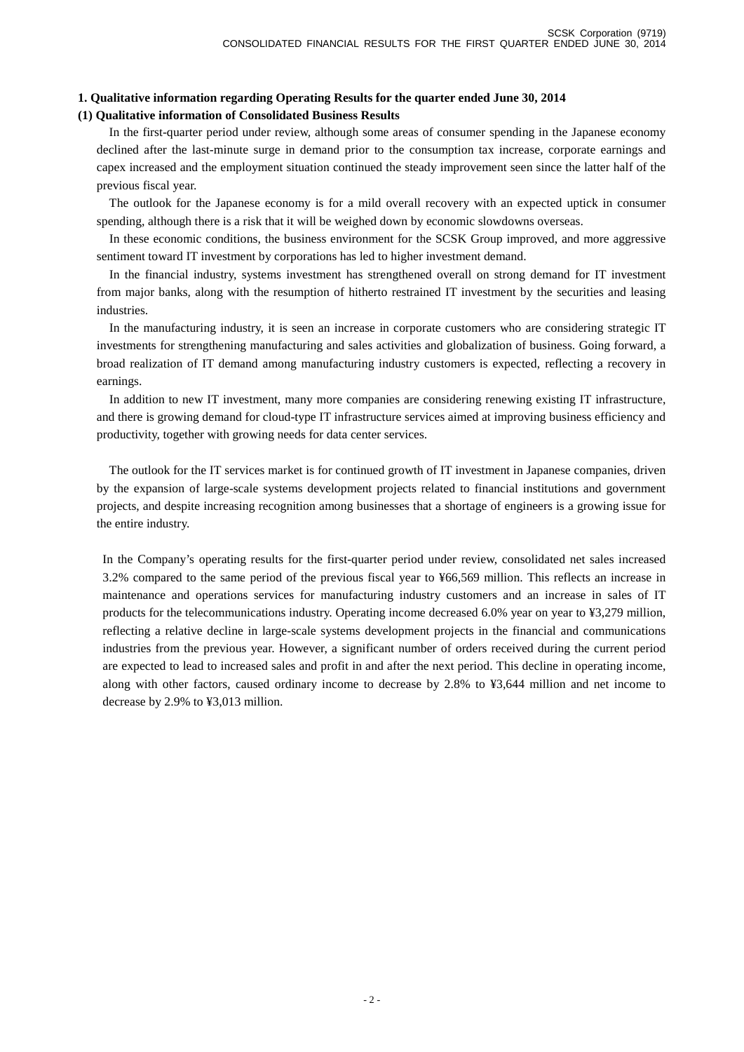## **1. Qualitative information regarding Operating Results for the quarter ended June 30, 2014**

### **(1) Qualitative information of Consolidated Business Results**

In the first-quarter period under review, although some areas of consumer spending in the Japanese economy declined after the last-minute surge in demand prior to the consumption tax increase, corporate earnings and capex increased and the employment situation continued the steady improvement seen since the latter half of the previous fiscal year.

 The outlook for the Japanese economy is for a mild overall recovery with an expected uptick in consumer spending, although there is a risk that it will be weighed down by economic slowdowns overseas.

 In these economic conditions, the business environment for the SCSK Group improved, and more aggressive sentiment toward IT investment by corporations has led to higher investment demand.

 In the financial industry, systems investment has strengthened overall on strong demand for IT investment from major banks, along with the resumption of hitherto restrained IT investment by the securities and leasing industries.

 In the manufacturing industry, it is seen an increase in corporate customers who are considering strategic IT investments for strengthening manufacturing and sales activities and globalization of business. Going forward, a broad realization of IT demand among manufacturing industry customers is expected, reflecting a recovery in earnings.

 In addition to new IT investment, many more companies are considering renewing existing IT infrastructure, and there is growing demand for cloud-type IT infrastructure services aimed at improving business efficiency and productivity, together with growing needs for data center services.

 The outlook for the IT services market is for continued growth of IT investment in Japanese companies, driven by the expansion of large-scale systems development projects related to financial institutions and government projects, and despite increasing recognition among businesses that a shortage of engineers is a growing issue for the entire industry.

In the Company's operating results for the first-quarter period under review, consolidated net sales increased 3.2% compared to the same period of the previous fiscal year to ¥66,569 million. This reflects an increase in maintenance and operations services for manufacturing industry customers and an increase in sales of IT products for the telecommunications industry. Operating income decreased 6.0% year on year to ¥3,279 million, reflecting a relative decline in large-scale systems development projects in the financial and communications industries from the previous year. However, a significant number of orders received during the current period are expected to lead to increased sales and profit in and after the next period. This decline in operating income, along with other factors, caused ordinary income to decrease by 2.8% to ¥3,644 million and net income to decrease by 2.9% to ¥3,013 million.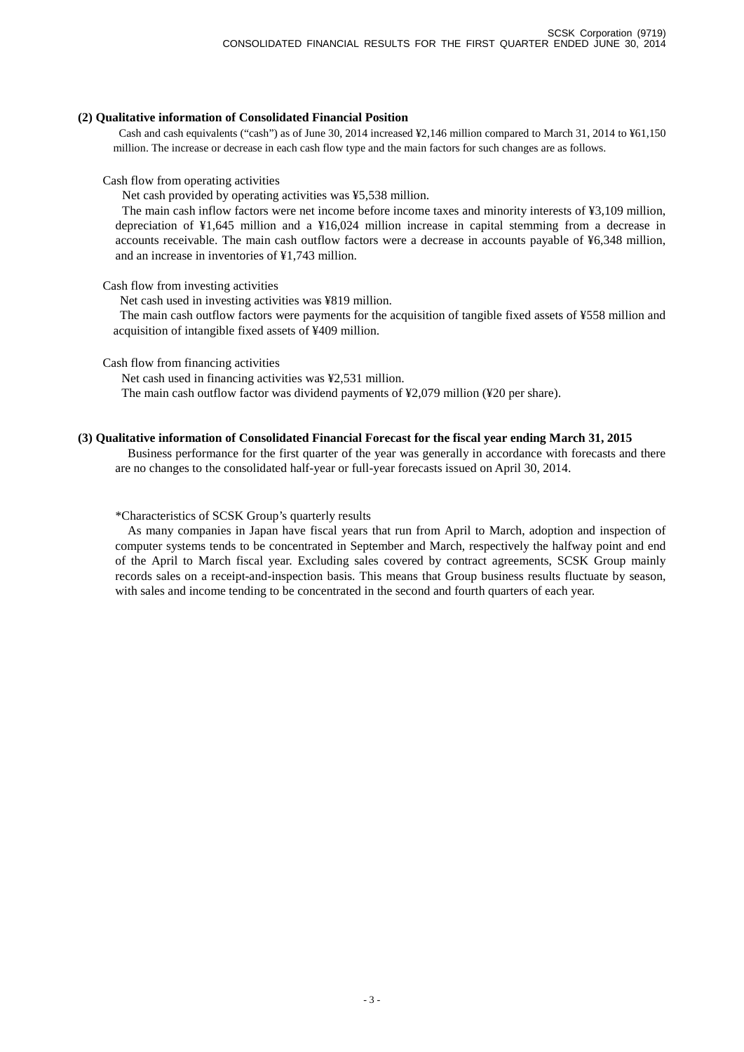#### **(2) Qualitative information of Consolidated Financial Position**

Cash and cash equivalents ("cash") as of June 30, 2014 increased ¥2,146 million compared to March 31, 2014 to ¥61,150 million. The increase or decrease in each cash flow type and the main factors for such changes are as follows.

#### Cash flow from operating activities

Net cash provided by operating activities was ¥5,538 million.

The main cash inflow factors were net income before income taxes and minority interests of ¥3,109 million, depreciation of ¥1,645 million and a ¥16,024 million increase in capital stemming from a decrease in accounts receivable. The main cash outflow factors were a decrease in accounts payable of ¥6,348 million, and an increase in inventories of ¥1,743 million.

#### Cash flow from investing activities

Net cash used in investing activities was ¥819 million.

The main cash outflow factors were payments for the acquisition of tangible fixed assets of ¥558 million and acquisition of intangible fixed assets of ¥409 million.

Cash flow from financing activities

Net cash used in financing activities was ¥2,531 million.

The main cash outflow factor was dividend payments of ¥2,079 million (¥20 per share).

#### **(3) Qualitative information of Consolidated Financial Forecast for the fiscal year ending March 31, 2015**

Business performance for the first quarter of the year was generally in accordance with forecasts and there are no changes to the consolidated half-year or full-year forecasts issued on April 30, 2014.

#### \*Characteristics of SCSK Group's quarterly results

As many companies in Japan have fiscal years that run from April to March, adoption and inspection of computer systems tends to be concentrated in September and March, respectively the halfway point and end of the April to March fiscal year. Excluding sales covered by contract agreements, SCSK Group mainly records sales on a receipt-and-inspection basis. This means that Group business results fluctuate by season, with sales and income tending to be concentrated in the second and fourth quarters of each year.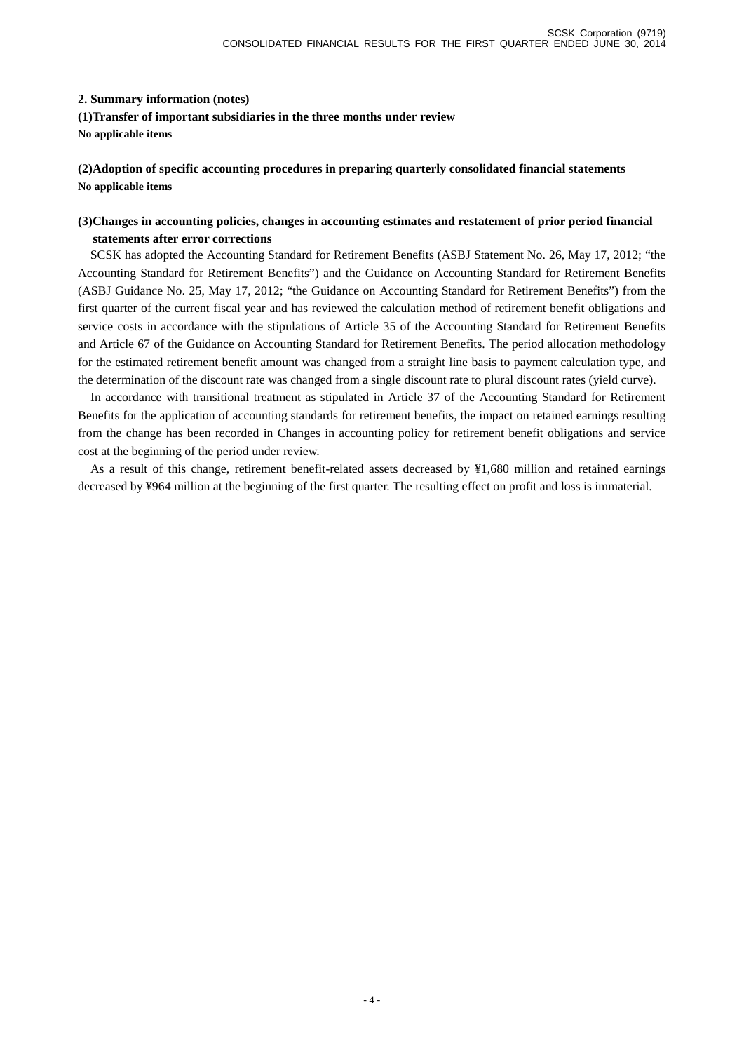### **2. Summary information (notes)**

**(1)Transfer of important subsidiaries in the three months under review**

**No applicable items**

## **(2)Adoption of specific accounting procedures in preparing quarterly consolidated financial statements No applicable items**

## **(3)Changes in accounting policies, changes in accounting estimates and restatement of prior period financial statements after error corrections**

SCSK has adopted the Accounting Standard for Retirement Benefits (ASBJ Statement No. 26, May 17, 2012; "the Accounting Standard for Retirement Benefits") and the Guidance on Accounting Standard for Retirement Benefits (ASBJ Guidance No. 25, May 17, 2012; "the Guidance on Accounting Standard for Retirement Benefits") from the first quarter of the current fiscal year and has reviewed the calculation method of retirement benefit obligations and service costs in accordance with the stipulations of Article 35 of the Accounting Standard for Retirement Benefits and Article 67 of the Guidance on Accounting Standard for Retirement Benefits. The period allocation methodology for the estimated retirement benefit amount was changed from a straight line basis to payment calculation type, and the determination of the discount rate was changed from a single discount rate to plural discount rates (yield curve).

 In accordance with transitional treatment as stipulated in Article 37 of the Accounting Standard for Retirement Benefits for the application of accounting standards for retirement benefits, the impact on retained earnings resulting from the change has been recorded in Changes in accounting policy for retirement benefit obligations and service cost at the beginning of the period under review.

 As a result of this change, retirement benefit-related assets decreased by ¥1,680 million and retained earnings decreased by ¥964 million at the beginning of the first quarter. The resulting effect on profit and loss is immaterial.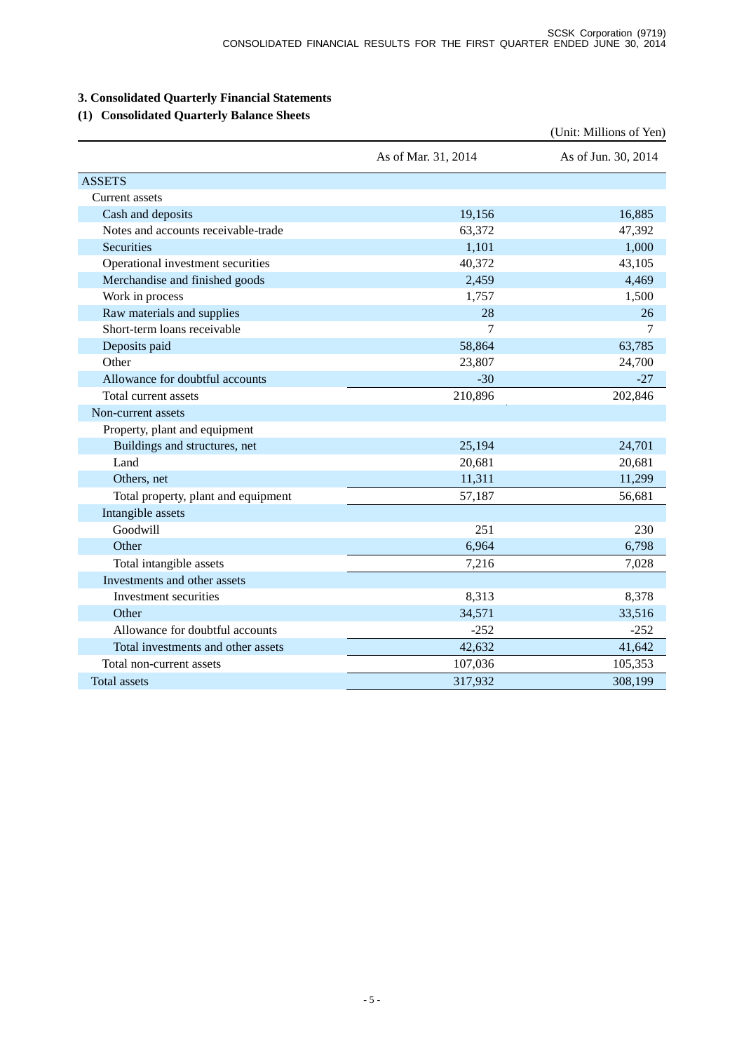# **3. Consolidated Quarterly Financial Statements**

## **(1) Consolidated Quarterly Balance Sheets**

|                                     |                     | (Unit: Millions of Yen) |
|-------------------------------------|---------------------|-------------------------|
|                                     | As of Mar. 31, 2014 | As of Jun. 30, 2014     |
| <b>ASSETS</b>                       |                     |                         |
| Current assets                      |                     |                         |
| Cash and deposits                   | 19,156              | 16,885                  |
| Notes and accounts receivable-trade | 63,372              | 47,392                  |
| Securities                          | 1,101               | 1,000                   |
| Operational investment securities   | 40,372              | 43,105                  |
| Merchandise and finished goods      | 2,459               | 4,469                   |
| Work in process                     | 1,757               | 1,500                   |
| Raw materials and supplies          | 28                  | 26                      |
| Short-term loans receivable         | 7                   | 7                       |
| Deposits paid                       | 58,864              | 63,785                  |
| Other                               | 23,807              | 24,700                  |
| Allowance for doubtful accounts     | $-30$               | $-27$                   |
| Total current assets                | 210,896             | 202,846                 |
| Non-current assets                  |                     |                         |
| Property, plant and equipment       |                     |                         |
| Buildings and structures, net       | 25,194              | 24,701                  |
| Land                                | 20,681              | 20,681                  |
| Others, net                         | 11,311              | 11,299                  |
| Total property, plant and equipment | 57,187              | 56,681                  |
| Intangible assets                   |                     |                         |
| Goodwill                            | 251                 | 230                     |
| Other                               | 6,964               | 6,798                   |
| Total intangible assets             | 7,216               | 7,028                   |
| Investments and other assets        |                     |                         |
| Investment securities               | 8,313               | 8,378                   |
| Other                               | 34,571              | 33,516                  |
| Allowance for doubtful accounts     | $-252$              | $-252$                  |
| Total investments and other assets  | 42,632              | 41,642                  |
| Total non-current assets            | 107,036             | 105,353                 |
| <b>Total assets</b>                 | 317,932             | 308,199                 |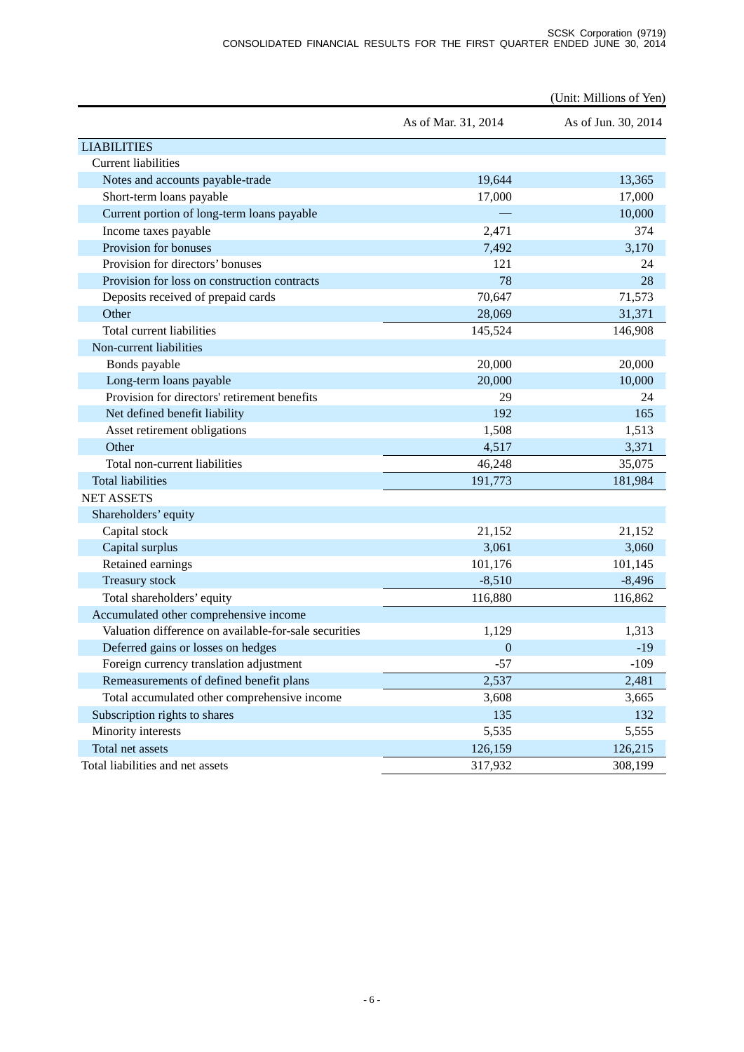|                                                       |                     | (Unit: Millions of Yen) |
|-------------------------------------------------------|---------------------|-------------------------|
|                                                       | As of Mar. 31, 2014 | As of Jun. 30, 2014     |
| <b>LIABILITIES</b>                                    |                     |                         |
| <b>Current liabilities</b>                            |                     |                         |
| Notes and accounts payable-trade                      | 19,644              | 13,365                  |
| Short-term loans payable                              | 17,000              | 17,000                  |
| Current portion of long-term loans payable            |                     | 10,000                  |
| Income taxes payable                                  | 2,471               | 374                     |
| Provision for bonuses                                 | 7,492               | 3,170                   |
| Provision for directors' bonuses                      | 121                 | 24                      |
| Provision for loss on construction contracts          | 78                  | 28                      |
| Deposits received of prepaid cards                    | 70,647              | 71,573                  |
| Other                                                 | 28,069              | 31,371                  |
| Total current liabilities                             | 145,524             | 146,908                 |
| Non-current liabilities                               |                     |                         |
| Bonds payable                                         | 20,000              | 20,000                  |
| Long-term loans payable                               | 20,000              | 10,000                  |
| Provision for directors' retirement benefits          | 29                  | 24                      |
| Net defined benefit liability                         | 192                 | 165                     |
| Asset retirement obligations                          | 1,508               | 1,513                   |
| Other                                                 | 4,517               | 3,371                   |
| Total non-current liabilities                         | 46,248              | 35,075                  |
| <b>Total liabilities</b>                              | 191,773             | 181,984                 |
| <b>NET ASSETS</b>                                     |                     |                         |
| Shareholders' equity                                  |                     |                         |
| Capital stock                                         | 21,152              | 21,152                  |
| Capital surplus                                       | 3,061               | 3,060                   |
| Retained earnings                                     | 101,176             | 101,145                 |
| Treasury stock                                        | $-8,510$            | $-8,496$                |
| Total shareholders' equity                            | 116,880             | 116,862                 |
| Accumulated other comprehensive income                |                     |                         |
| Valuation difference on available-for-sale securities | 1,129               | 1,313                   |
| Deferred gains or losses on hedges                    | $\theta$            | $-19$                   |
| Foreign currency translation adjustment               | $-57$               | $-109$                  |
| Remeasurements of defined benefit plans               | 2,537               | 2,481                   |
| Total accumulated other comprehensive income          | 3,608               | 3,665                   |
| Subscription rights to shares                         | 135                 | 132                     |
| Minority interests                                    | 5,535               | 5,555                   |
| Total net assets                                      | 126,159             | 126,215                 |
| Total liabilities and net assets                      | 317,932             | 308,199                 |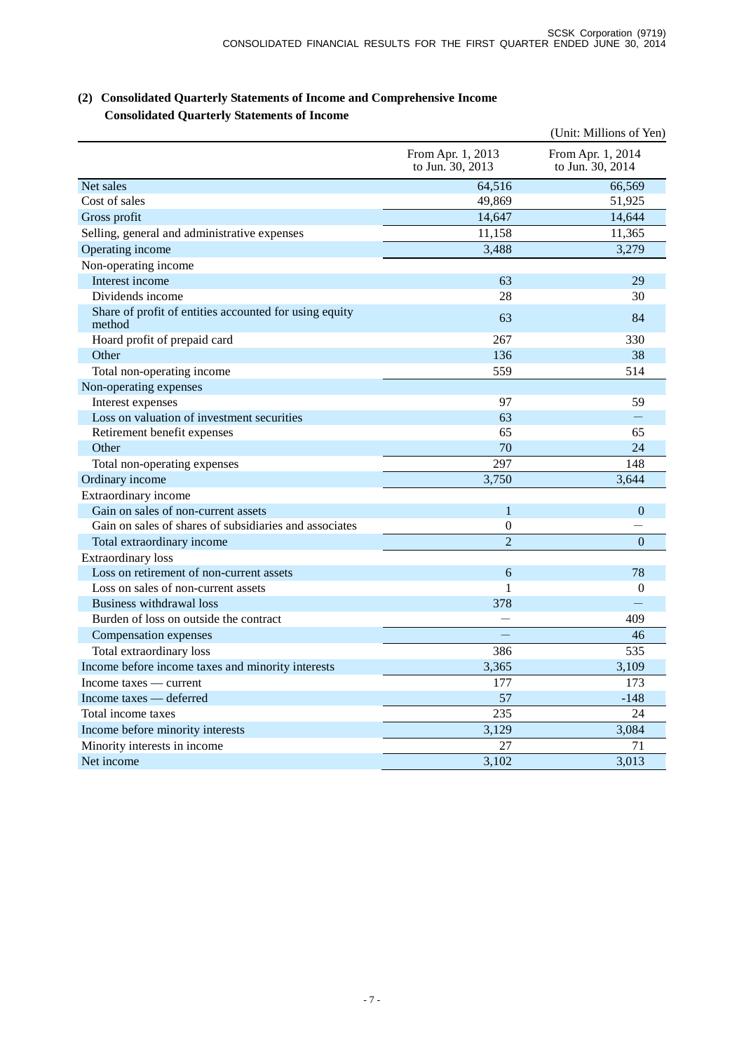|                                                                  |                                       | (Unit: Millions of Yen)               |
|------------------------------------------------------------------|---------------------------------------|---------------------------------------|
|                                                                  | From Apr. 1, 2013<br>to Jun. 30, 2013 | From Apr. 1, 2014<br>to Jun. 30, 2014 |
| Net sales                                                        | 64,516                                | 66,569                                |
| Cost of sales                                                    | 49,869                                | 51,925                                |
| Gross profit                                                     | 14,647                                | 14,644                                |
| Selling, general and administrative expenses                     | 11,158                                | 11,365                                |
| Operating income                                                 | 3,488                                 | 3,279                                 |
| Non-operating income                                             |                                       |                                       |
| Interest income                                                  | 63                                    | 29                                    |
| Dividends income                                                 | 28                                    | 30                                    |
| Share of profit of entities accounted for using equity<br>method | 63                                    | 84                                    |
| Hoard profit of prepaid card                                     | 267                                   | 330                                   |
| Other                                                            | 136                                   | 38                                    |
| Total non-operating income                                       | 559                                   | 514                                   |
| Non-operating expenses                                           |                                       |                                       |
| Interest expenses                                                | 97                                    | 59                                    |
| Loss on valuation of investment securities                       | 63                                    |                                       |
| Retirement benefit expenses                                      | 65                                    | 65                                    |
| Other                                                            | 70                                    | 24                                    |
| Total non-operating expenses                                     | 297                                   | 148                                   |
| Ordinary income                                                  | 3,750                                 | 3,644                                 |
| Extraordinary income                                             |                                       |                                       |
| Gain on sales of non-current assets                              | $\mathbf{1}$                          | $\theta$                              |
| Gain on sales of shares of subsidiaries and associates           | $\theta$                              |                                       |
| Total extraordinary income                                       | $\overline{2}$                        | $\theta$                              |
| <b>Extraordinary</b> loss                                        |                                       |                                       |
| Loss on retirement of non-current assets                         | 6                                     | 78                                    |
| Loss on sales of non-current assets                              | 1                                     | $\Omega$                              |
| Business withdrawal loss                                         | 378                                   |                                       |
| Burden of loss on outside the contract                           |                                       | 409                                   |
| Compensation expenses                                            |                                       | 46                                    |
| Total extraordinary loss                                         | 386                                   | 535                                   |
| Income before income taxes and minority interests                | 3,365                                 | 3,109                                 |
| Income taxes — current                                           | 177                                   | 173                                   |
| Income taxes - deferred                                          | 57                                    | $-148$                                |
| Total income taxes                                               | 235                                   | 24                                    |
| Income before minority interests                                 | 3,129                                 | 3,084                                 |
| Minority interests in income                                     | 27                                    | 71                                    |
| Net income                                                       | 3,102                                 | 3,013                                 |

## **(2) Consolidated Quarterly Statements of Income and Comprehensive Income Consolidated Quarterly Statements of Income**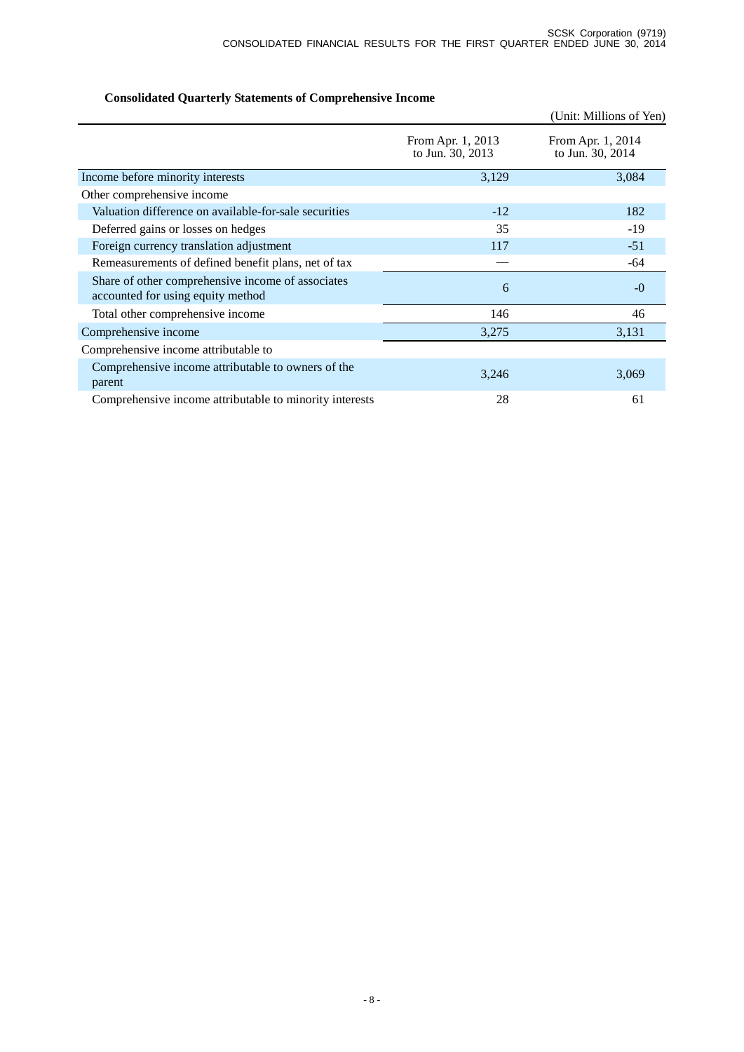# **Consolidated Quarterly Statements of Comprehensive Income**

|                                                                                        |                                       | (Unit: Millions of Yen)               |
|----------------------------------------------------------------------------------------|---------------------------------------|---------------------------------------|
|                                                                                        | From Apr. 1, 2013<br>to Jun. 30, 2013 | From Apr. 1, 2014<br>to Jun. 30, 2014 |
| Income before minority interests                                                       | 3,129                                 | 3,084                                 |
| Other comprehensive income                                                             |                                       |                                       |
| Valuation difference on available-for-sale securities                                  | $-12$                                 | 182                                   |
| Deferred gains or losses on hedges                                                     | 35                                    | $-19$                                 |
| Foreign currency translation adjustment                                                | 117                                   | $-51$                                 |
| Remeasurements of defined benefit plans, net of tax                                    |                                       | -64                                   |
| Share of other comprehensive income of associates<br>accounted for using equity method | 6                                     | $-0$                                  |
| Total other comprehensive income                                                       | 146                                   | 46                                    |
| Comprehensive income                                                                   | 3,275                                 | 3,131                                 |
| Comprehensive income attributable to                                                   |                                       |                                       |
| Comprehensive income attributable to owners of the<br>parent                           | 3,246                                 | 3,069                                 |
| Comprehensive income attributable to minority interests                                | 28                                    | 61                                    |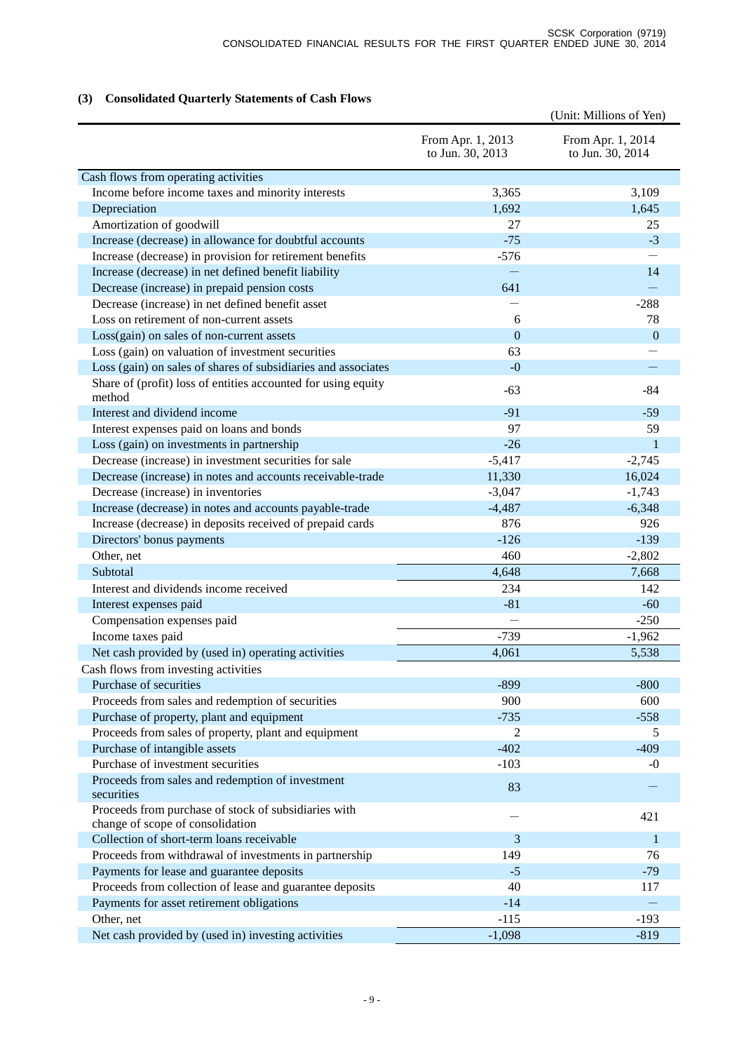# **(3) Consolidated Quarterly Statements of Cash Flows**

|                                                                                          |                                       | (Unit: Millions of Yen)               |
|------------------------------------------------------------------------------------------|---------------------------------------|---------------------------------------|
|                                                                                          | From Apr. 1, 2013<br>to Jun. 30, 2013 | From Apr. 1, 2014<br>to Jun. 30, 2014 |
| Cash flows from operating activities                                                     |                                       |                                       |
| Income before income taxes and minority interests                                        | 3,365                                 | 3,109                                 |
| Depreciation                                                                             | 1,692                                 | 1,645                                 |
| Amortization of goodwill                                                                 | 27                                    | 25                                    |
| Increase (decrease) in allowance for doubtful accounts                                   | $-75$                                 | $-3$                                  |
| Increase (decrease) in provision for retirement benefits                                 | $-576$                                |                                       |
| Increase (decrease) in net defined benefit liability                                     |                                       | 14                                    |
| Decrease (increase) in prepaid pension costs                                             | 641                                   |                                       |
| Decrease (increase) in net defined benefit asset                                         |                                       | $-288$                                |
| Loss on retirement of non-current assets                                                 | 6                                     | 78                                    |
| Loss(gain) on sales of non-current assets                                                | $\mathbf{0}$                          | $\mathbf{0}$                          |
| Loss (gain) on valuation of investment securities                                        | 63                                    |                                       |
| Loss (gain) on sales of shares of subsidiaries and associates                            | $-0$                                  | $\overline{\phantom{0}}$              |
| Share of (profit) loss of entities accounted for using equity<br>method                  | $-63$                                 | -84                                   |
| Interest and dividend income                                                             | $-91$                                 | $-59$                                 |
| Interest expenses paid on loans and bonds                                                | 97                                    | 59                                    |
| Loss (gain) on investments in partnership                                                | $-26$                                 | $\mathbf{1}$                          |
| Decrease (increase) in investment securities for sale                                    | $-5,417$                              | $-2,745$                              |
| Decrease (increase) in notes and accounts receivable-trade                               | 11,330                                | 16,024                                |
| Decrease (increase) in inventories                                                       | $-3,047$                              | $-1,743$                              |
| Increase (decrease) in notes and accounts payable-trade                                  | $-4,487$                              | $-6,348$                              |
| Increase (decrease) in deposits received of prepaid cards                                | 876                                   | 926                                   |
| Directors' bonus payments                                                                | $-126$                                | $-139$                                |
| Other, net                                                                               | 460                                   | $-2,802$                              |
| Subtotal                                                                                 | 4,648                                 | 7,668                                 |
| Interest and dividends income received                                                   | 234                                   | 142                                   |
| Interest expenses paid                                                                   | $-81$                                 | $-60$                                 |
| Compensation expenses paid                                                               |                                       | $-250$                                |
| Income taxes paid                                                                        | $-739$                                | $-1,962$                              |
| Net cash provided by (used in) operating activities                                      | 4,061                                 | 5,538                                 |
| Cash flows from investing activities                                                     |                                       |                                       |
| Purchase of securities                                                                   | $-899$                                | $-800$                                |
| Proceeds from sales and redemption of securities                                         | 900                                   | 600                                   |
| Purchase of property, plant and equipment                                                | $-735$                                | $-558$                                |
| Proceeds from sales of property, plant and equipment                                     | 2                                     | 5                                     |
| Purchase of intangible assets                                                            | $-402$                                | $-409$                                |
| Purchase of investment securities                                                        | $-103$                                | $-0$                                  |
| Proceeds from sales and redemption of investment<br>securities                           | 83                                    |                                       |
| Proceeds from purchase of stock of subsidiaries with<br>change of scope of consolidation |                                       | 421                                   |
| Collection of short-term loans receivable                                                | 3                                     | 1                                     |
| Proceeds from withdrawal of investments in partnership                                   | 149                                   | 76                                    |
| Payments for lease and guarantee deposits                                                | $-5$                                  | $-79$                                 |
| Proceeds from collection of lease and guarantee deposits                                 | 40                                    | 117                                   |
| Payments for asset retirement obligations                                                | $-14$                                 |                                       |
| Other, net                                                                               | $-115$                                | $-193$                                |
| Net cash provided by (used in) investing activities                                      | $-1,098$                              | $-819$                                |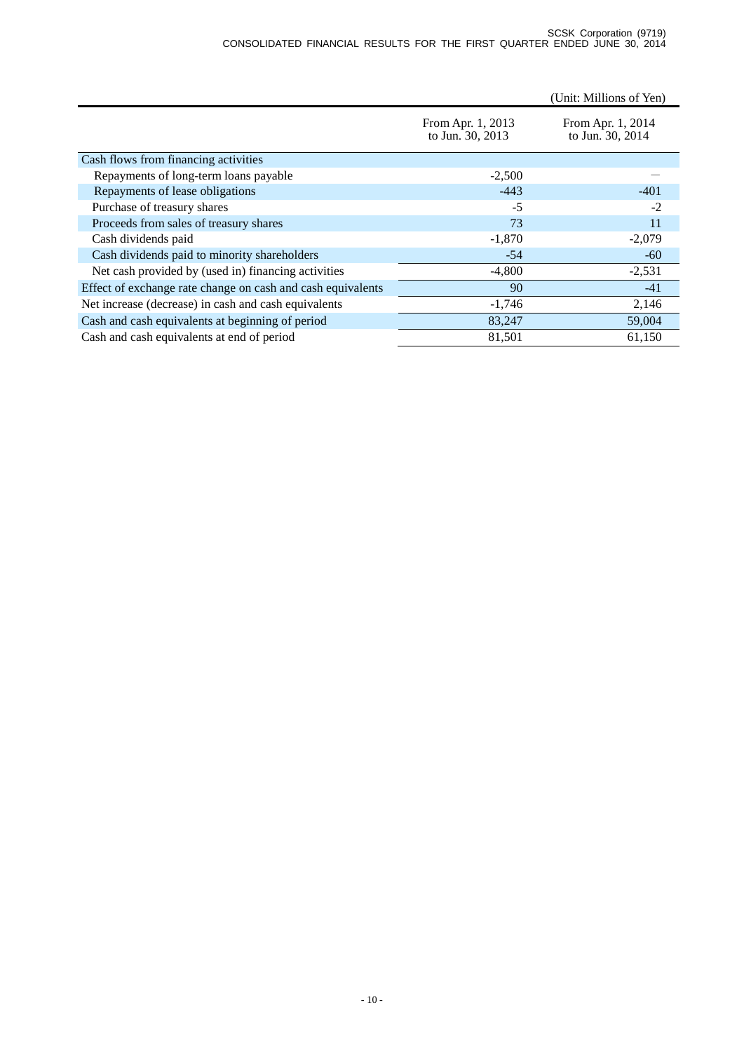#### SCSK Corporation (9719) CONSOLIDATED FINANCIAL RESULTS FOR THE FIRST QUARTER ENDED JUNE 30, 2014

|                                                             |                                       | (Unit: Millions of Yen)               |  |
|-------------------------------------------------------------|---------------------------------------|---------------------------------------|--|
|                                                             | From Apr. 1, 2013<br>to Jun. 30, 2013 | From Apr. 1, 2014<br>to Jun. 30, 2014 |  |
| Cash flows from financing activities                        |                                       |                                       |  |
| Repayments of long-term loans payable                       | $-2,500$                              |                                       |  |
| Repayments of lease obligations                             | $-443$                                | $-401$                                |  |
| Purchase of treasury shares                                 | $-5$                                  | $-2$                                  |  |
| Proceeds from sales of treasury shares                      | 73                                    | 11                                    |  |
| Cash dividends paid                                         | $-1,870$                              | $-2,079$                              |  |
| Cash dividends paid to minority shareholders                | $-54$                                 | $-60$                                 |  |
| Net cash provided by (used in) financing activities         | $-4,800$                              | $-2,531$                              |  |
| Effect of exchange rate change on cash and cash equivalents | 90                                    | $-41$                                 |  |
| Net increase (decrease) in cash and cash equivalents        | $-1,746$                              | 2,146                                 |  |
| Cash and cash equivalents at beginning of period            | 83,247                                | 59,004                                |  |
| Cash and cash equivalents at end of period                  | 81,501                                | 61,150                                |  |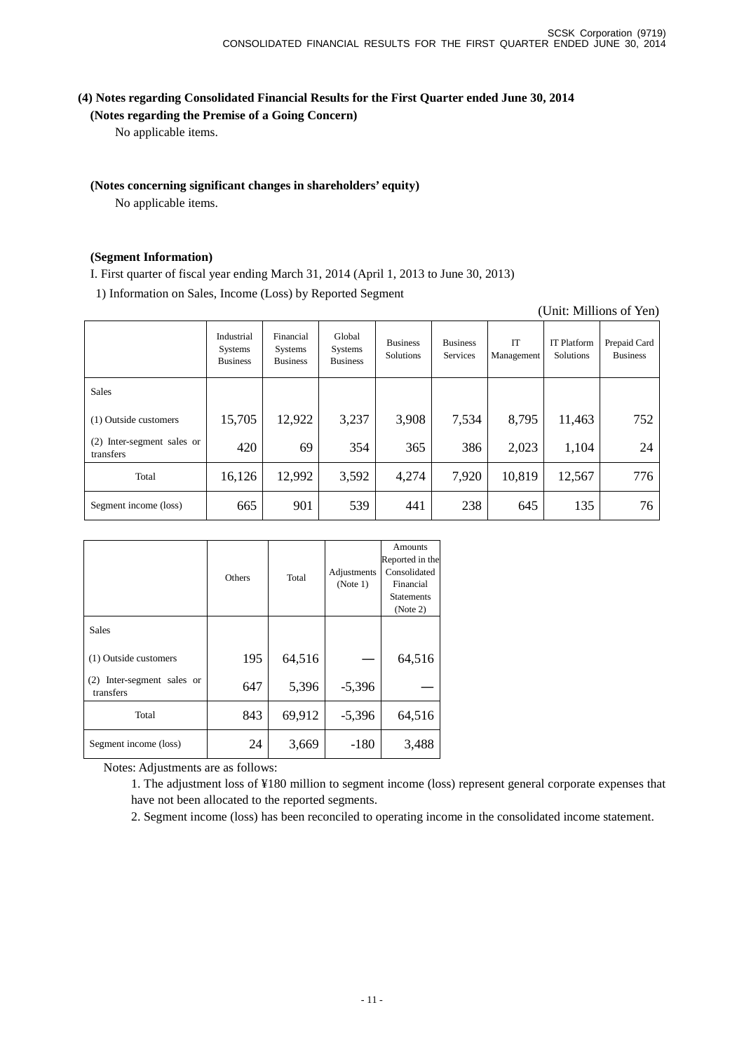## **(4) Notes regarding Consolidated Financial Results for the First Quarter ended June 30, 2014**

**(Notes regarding the Premise of a Going Concern)**

No applicable items.

### **(Notes concerning significant changes in shareholders' equity)**

No applicable items.

### **(Segment Information)**

I. First quarter of fiscal year ending March 31, 2014 (April 1, 2013 to June 30, 2013)

1) Information on Sales, Income (Loss) by Reported Segment

|                                            |                                                 |                                         |                                      |                              |                             |                  |                                 | $\sqrt{2}$ and $\sqrt{2}$ and $\sqrt{2}$ and $\sqrt{2}$ |
|--------------------------------------------|-------------------------------------------------|-----------------------------------------|--------------------------------------|------------------------------|-----------------------------|------------------|---------------------------------|---------------------------------------------------------|
|                                            | Industrial<br><b>Systems</b><br><b>Business</b> | Financial<br>Systems<br><b>Business</b> | Global<br>Systems<br><b>Business</b> | <b>Business</b><br>Solutions | <b>Business</b><br>Services | IT<br>Management | <b>IT Platform</b><br>Solutions | Prepaid Card<br><b>Business</b>                         |
| <b>Sales</b>                               |                                                 |                                         |                                      |                              |                             |                  |                                 |                                                         |
| (1) Outside customers                      | 15,705                                          | 12,922                                  | 3,237                                | 3,908                        | 7,534                       | 8,795            | 11,463                          | 752                                                     |
| Inter-segment sales or<br>(2)<br>transfers | 420                                             | 69                                      | 354                                  | 365                          | 386                         | 2,023            | 1,104                           | 24                                                      |
| Total                                      | 16,126                                          | 12,992                                  | 3,592                                | 4,274                        | 7,920                       | 10,819           | 12,567                          | 776                                                     |
| Segment income (loss)                      | 665                                             | 901                                     | 539                                  | 441                          | 238                         | 645              | 135                             | 76                                                      |

|                                            | Others | Total  | Adjustments<br>(Note 1) | Amounts<br>Reported in the<br>Consolidated<br>Financial<br><b>Statements</b><br>(Note 2) |
|--------------------------------------------|--------|--------|-------------------------|------------------------------------------------------------------------------------------|
| <b>Sales</b>                               |        |        |                         |                                                                                          |
| (1) Outside customers                      | 195    | 64,516 |                         | 64,516                                                                                   |
| Inter-segment sales or<br>(2)<br>transfers | 647    | 5,396  | $-5,396$                |                                                                                          |
| Total                                      | 843    | 69,912 | $-5,396$                | 64,516                                                                                   |
| Segment income (loss)                      | 24     | 3,669  | $-180$                  | 3,488                                                                                    |

Notes: Adjustments are as follows:

1. The adjustment loss of ¥180 million to segment income (loss) represent general corporate expenses that have not been allocated to the reported segments.

2. Segment income (loss) has been reconciled to operating income in the consolidated income statement.

## (Unit: Millions of Yen)